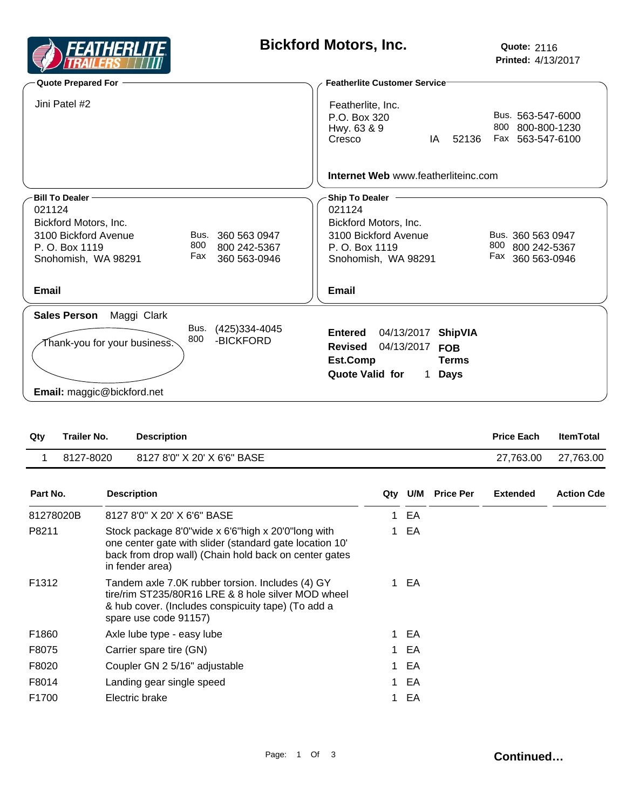

## **Bickford Motors, Inc.**

| <b>Quote Prepared For</b>                                                                                                                                                                    | <b>Featherlite Customer Service</b>                                                                                                                                                          |  |  |  |  |  |
|----------------------------------------------------------------------------------------------------------------------------------------------------------------------------------------------|----------------------------------------------------------------------------------------------------------------------------------------------------------------------------------------------|--|--|--|--|--|
| Jini Patel #2                                                                                                                                                                                | Featherlite, Inc.<br>Bus. 563-547-6000<br>P.O. Box 320<br>800<br>800-800-1230<br>Hwy. 63 & 9<br>52136<br>Fax 563-547-6100<br>Cresco<br>IA                                                    |  |  |  |  |  |
|                                                                                                                                                                                              | <b>Internet Web</b> www.featherliteinc.com                                                                                                                                                   |  |  |  |  |  |
| <b>Bill To Dealer</b><br>021124<br>Bickford Motors, Inc.<br>3100 Bickford Avenue<br>Bus. 360 563 0947<br>800<br>P. O. Box 1119<br>800 242-5367<br>Fax<br>360 563-0946<br>Snohomish, WA 98291 | <b>Ship To Dealer</b><br>021124<br>Bickford Motors, Inc.<br>3100 Bickford Avenue<br>Bus. 360 563 0947<br>800<br>P. O. Box 1119<br>800 242-5367<br>Fax<br>360 563-0946<br>Snohomish, WA 98291 |  |  |  |  |  |
| Email                                                                                                                                                                                        | Email                                                                                                                                                                                        |  |  |  |  |  |
| Maggi Clark<br><b>Sales Person</b><br>Bus.<br>(425) 334-4045<br>800<br>-BICKFORD<br>Thank-you for your business $\stackrel{<}{\sim}$<br>Email: maggic@bickford.net                           | <b>Entered</b><br>04/13/2017<br><b>ShipVIA</b><br>04/13/2017<br><b>Revised</b><br><b>FOB</b><br>Est.Comp<br><b>Terms</b><br>Quote Valid for<br><b>Days</b><br>1.                             |  |  |  |  |  |

| Qtv | Trailer No. | <b>Description</b>          | <b>Price Each</b> | <b>ItemTotal</b> |
|-----|-------------|-----------------------------|-------------------|------------------|
|     | 8127-8020   | 8127 8'0" X 20' X 6'6" BASE | 27.763.00         | 27,763.00        |
|     |             |                             |                   |                  |

| Part No.          | <b>Description</b>                                                                                                                                                                        |    | Qty U/M | <b>Price Per</b> | <b>Extended</b> | <b>Action Cde</b> |
|-------------------|-------------------------------------------------------------------------------------------------------------------------------------------------------------------------------------------|----|---------|------------------|-----------------|-------------------|
| 81278020B         | 8127 8'0" X 20' X 6'6" BASE                                                                                                                                                               |    | EA      |                  |                 |                   |
| P8211             | Stock package 8'0"wide x 6'6"high x 20'0"long with<br>one center gate with slider (standard gate location 10'<br>back from drop wall) (Chain hold back on center gates<br>in fender area) |    | EA.     |                  |                 |                   |
| F <sub>1312</sub> | Tandem axle 7.0K rubber torsion. Includes (4) GY<br>tire/rim ST235/80R16 LRE & 8 hole silver MOD wheel<br>& hub cover. (Includes conspicuity tape) (To add a<br>spare use code 91157)     |    | 1 EA    |                  |                 |                   |
| F1860             | Axle lube type - easy lube                                                                                                                                                                |    | 1 EA    |                  |                 |                   |
| F8075             | Carrier spare tire (GN)                                                                                                                                                                   |    | 1 EA    |                  |                 |                   |
| F8020             | Coupler GN 2 5/16" adjustable                                                                                                                                                             |    | 1 EA    |                  |                 |                   |
| F8014             | Landing gear single speed                                                                                                                                                                 | 1. | EA      |                  |                 |                   |
| F1700             | Electric brake                                                                                                                                                                            |    | EA      |                  |                 |                   |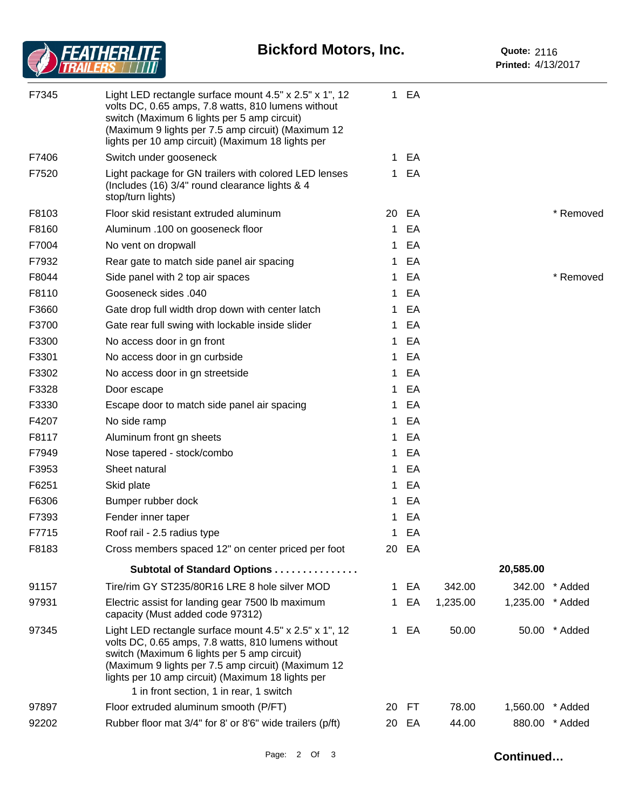## **Bickford Motors, Inc.**



| F7345 | Light LED rectangle surface mount 4.5" x 2.5" x 1", 12<br>volts DC, 0.65 amps, 7.8 watts, 810 lumens without<br>switch (Maximum 6 lights per 5 amp circuit)<br>(Maximum 9 lights per 7.5 amp circuit) (Maximum 12<br>lights per 10 amp circuit) (Maximum 18 lights per                                            |    | 1 EA  |          |                  |                |
|-------|-------------------------------------------------------------------------------------------------------------------------------------------------------------------------------------------------------------------------------------------------------------------------------------------------------------------|----|-------|----------|------------------|----------------|
| F7406 | Switch under gooseneck                                                                                                                                                                                                                                                                                            | 1. | EA    |          |                  |                |
| F7520 | Light package for GN trailers with colored LED lenses<br>(Includes (16) 3/4" round clearance lights & 4<br>stop/turn lights)                                                                                                                                                                                      | 1. | EA    |          |                  |                |
| F8103 | Floor skid resistant extruded aluminum                                                                                                                                                                                                                                                                            |    | 20 EA |          |                  | * Removed      |
| F8160 | Aluminum .100 on gooseneck floor                                                                                                                                                                                                                                                                                  | 1  | EA    |          |                  |                |
| F7004 | No vent on dropwall                                                                                                                                                                                                                                                                                               | 1. | EA    |          |                  |                |
| F7932 | Rear gate to match side panel air spacing                                                                                                                                                                                                                                                                         | 1. | EA    |          |                  |                |
| F8044 | Side panel with 2 top air spaces                                                                                                                                                                                                                                                                                  | 1. | EA    |          |                  | * Removed      |
| F8110 | Gooseneck sides .040                                                                                                                                                                                                                                                                                              | 1. | EA    |          |                  |                |
| F3660 | Gate drop full width drop down with center latch                                                                                                                                                                                                                                                                  | 1. | EA    |          |                  |                |
| F3700 | Gate rear full swing with lockable inside slider                                                                                                                                                                                                                                                                  | 1. | EA    |          |                  |                |
| F3300 | No access door in gn front                                                                                                                                                                                                                                                                                        | 1  | EA    |          |                  |                |
| F3301 | No access door in gn curbside                                                                                                                                                                                                                                                                                     | 1  | EA    |          |                  |                |
| F3302 | No access door in gn streetside                                                                                                                                                                                                                                                                                   | 1. | EA    |          |                  |                |
| F3328 | Door escape                                                                                                                                                                                                                                                                                                       | 1  | EA    |          |                  |                |
| F3330 | Escape door to match side panel air spacing                                                                                                                                                                                                                                                                       | 1. | EA    |          |                  |                |
| F4207 | No side ramp                                                                                                                                                                                                                                                                                                      | 1  | EA    |          |                  |                |
| F8117 | Aluminum front gn sheets                                                                                                                                                                                                                                                                                          | 1  | EA    |          |                  |                |
| F7949 | Nose tapered - stock/combo                                                                                                                                                                                                                                                                                        | 1. | EA    |          |                  |                |
| F3953 | Sheet natural                                                                                                                                                                                                                                                                                                     | 1. | EA    |          |                  |                |
| F6251 | Skid plate                                                                                                                                                                                                                                                                                                        | 1  | EA    |          |                  |                |
| F6306 | Bumper rubber dock                                                                                                                                                                                                                                                                                                | 1  | EA    |          |                  |                |
| F7393 | Fender inner taper                                                                                                                                                                                                                                                                                                | 1  | EA    |          |                  |                |
| F7715 | Roof rail - 2.5 radius type                                                                                                                                                                                                                                                                                       |    | 1 EA  |          |                  |                |
| F8183 | Cross members spaced 12" on center priced per foot                                                                                                                                                                                                                                                                |    | 20 EA |          |                  |                |
|       | Subtotal of Standard Options                                                                                                                                                                                                                                                                                      |    |       |          | 20,585.00        |                |
| 91157 | Tire/rim GY ST235/80R16 LRE 8 hole silver MOD                                                                                                                                                                                                                                                                     | 1. | EA    | 342.00   |                  | 342.00 * Added |
| 97931 | Electric assist for landing gear 7500 lb maximum<br>capacity (Must added code 97312)                                                                                                                                                                                                                              | 1. | EA    | 1,235.00 | 1,235.00 * Added |                |
| 97345 | Light LED rectangle surface mount 4.5" x 2.5" x 1", 12<br>volts DC, 0.65 amps, 7.8 watts, 810 lumens without<br>switch (Maximum 6 lights per 5 amp circuit)<br>(Maximum 9 lights per 7.5 amp circuit) (Maximum 12<br>lights per 10 amp circuit) (Maximum 18 lights per<br>1 in front section, 1 in rear, 1 switch |    | 1 EA  | 50.00    |                  | 50.00 * Added  |
| 97897 | Floor extruded aluminum smooth (P/FT)                                                                                                                                                                                                                                                                             | 20 | FT    | 78.00    | 1,560.00         | * Added        |
| 92202 | Rubber floor mat 3/4" for 8' or 8'6" wide trailers (p/ft)                                                                                                                                                                                                                                                         |    | 20 EA | 44.00    |                  | 880.00 * Added |
|       |                                                                                                                                                                                                                                                                                                                   |    |       |          |                  |                |

Page: 2 Of 3 **Continued...**